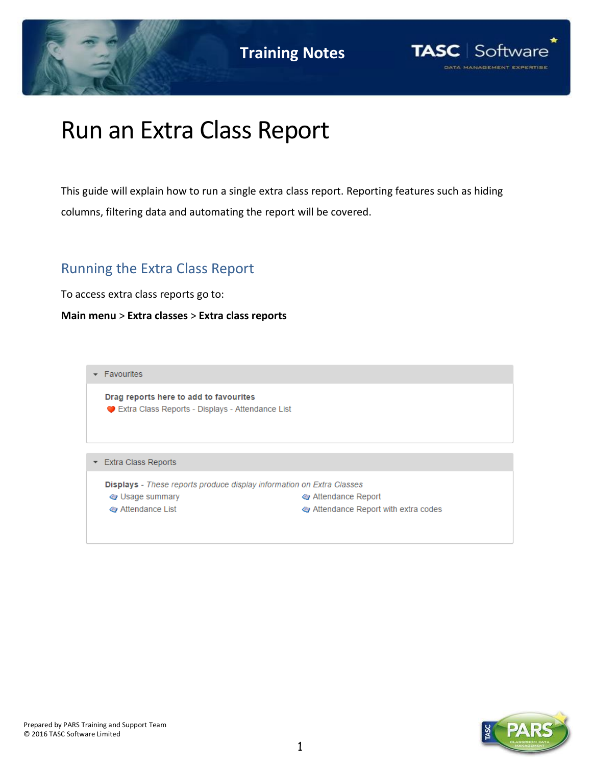



# Run an Extra Class Report

This guide will explain how to run a single extra class report. Reporting features such as hiding columns, filtering data and automating the report will be covered.

## Running the Extra Class Report

To access extra class reports go to:

**Main menu** > **Extra classes** > **Extra class reports**

 $\overline{\phantom{a}}$  Favourites Drag reports here to add to favourites Extra Class Reports - Displays - Attendance List Extra Class Reports Displays - These reports produce display information on Extra Classes Sage summary Attendance Report Attendance List Attendance Report with extra codes



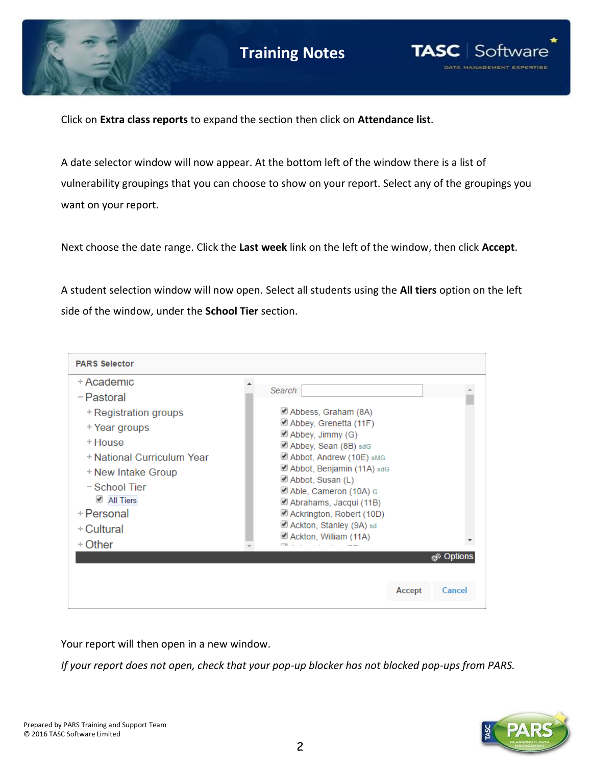

Click on **Extra class reports** to expand the section then click on **Attendance list**.

A date selector window will now appear. At the bottom left of the window there is a list of vulnerability groupings that you can choose to show on your report. Select any of the groupings you want on your report.

Next choose the date range. Click the **Last week** link on the left of the window, then click **Accept**.

A student selection window will now open. Select all students using the **All tiers** option on the left side of the window, under the **School Tier** section.



Your report will then open in a new window.

*If your report does not open, check that your pop-up blocker has not blocked pop-ups from PARS.*

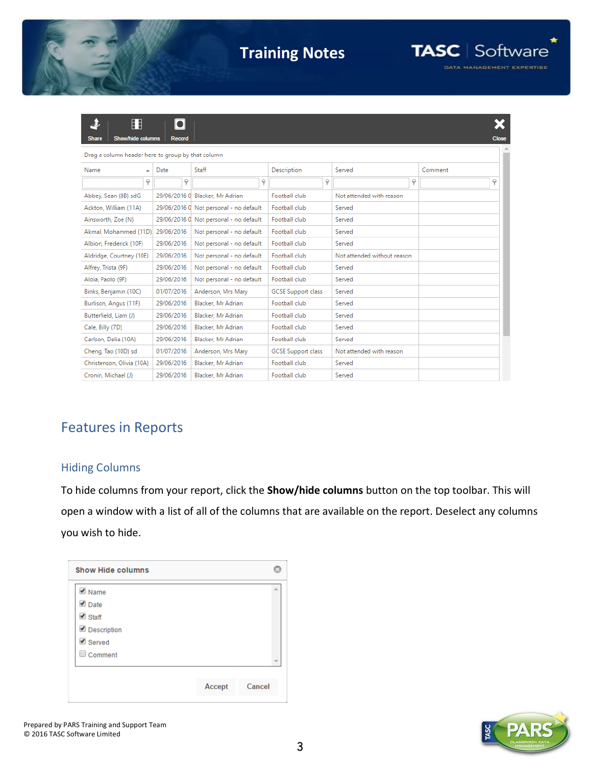

## **Training Notes**



₹ Ħ X  $|\bullet|$ Share Red Drag a column header here to group by that column Date Comment Name Staff Description Served  $\overline{a}$  $\overline{\mathbf{y}}$  $\overline{\mathbf{y}}$  $\varphi$  $\varphi$  $\overline{\mathbf{y}}$  $\varphi$ Abbey, Sean (8B) sdG 29/06/2016 0 Blacker, Mr Adrian Football club Not attended with reason Ackton, William (11A) 29/06/2016 0 Not personal - no default Football club Served Ainsworth, Zoe (N) 29/06/2016 0 Not personal - no default Football club Served Akmal, Mohammed (11D) 29/06/2016 Football club Not personal - no default Served Albion, Frederick (10F) 29/06/2016 Not personal - no default Football club Served Aldridge, Courtney (10E) 29/06/2016 Not personal - no default Football club Not attended without reason Alfrey, Trista (9F) 29/06/2016 Not personal - no default Football club Served Aloia, Paolo (9F) 29/06/2016 Football club Served Not personal - no default Binks, Benjamin (10C) 01/07/2016 Anderson, Mrs Mary **GCSE Support class** Served Burlison, Angus (11F) Blacker, Mr Adrian 29/06/2016 Football club Served Butterfield, Liam (J) 29/06/2016 Blacker, Mr Adrian Football club Served Cale, Billy (7D) 29/06/2016 Blacker, Mr Adrian Football club Served Carlson, Delia (10A) 29/06/2016 Blacker, Mr Adrian Football club Served Cheng, Tao (10D) sd 01/07/2016 Anderson, Mrs Mary **GCSE Support class** Not attended with reason Christenson, Olivia (10A) 29/06/2016 Blacker, Mr Adrian Football club Served Cronin, Michael (J) 29/06/2016 Blacker, Mr Adrian Football club Served

## Features in Reports

### Hiding Columns

To hide columns from your report, click the **Show/hide columns** button on the top toolbar. This will open a window with a list of all of the columns that are available on the report. Deselect any columns you wish to hide.

| <b>Show Hide columns</b> |        |        |
|--------------------------|--------|--------|
| $\triangle$ Name         |        | à.     |
| $\n  Date\n$             |        |        |
| $\triangleq$ Staff       |        |        |
| Description              |        |        |
| <b>■</b> Served          |        |        |
| $\Box$ Comment           |        |        |
|                          |        |        |
|                          | Accept | Cancel |
|                          |        |        |